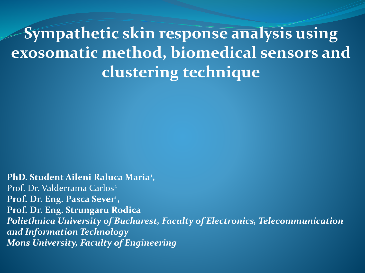**Sympathetic skin response analysis using exosomatic method, biomedical sensors and clustering technique**

**PhD. Student Aileni Raluca Maria<sup>1</sup> ,**  Prof. Dr. Valderrama Carlos<sup>2</sup> **Prof. Dr. Eng. Pasca Sever<sup>1</sup> , Prof. Dr. Eng. Strungaru Rodica** *Poliethnica University of Bucharest, Faculty of Electronics, Telecommunication and Information Technology Mons University, Faculty of Engineering*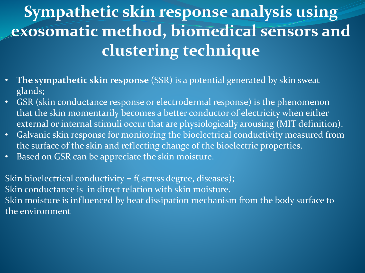# **Sympathetic skin response analysis using exosomatic method, biomedical sensors and clustering technique**

- **The sympathetic skin response** (SSR) is a potential generated by skin sweat glands;
- GSR (skin conductance response or electrodermal response) is the phenomenon that the skin momentarily becomes a better conductor of electricity when either external or internal stimuli occur that are physiologically arousing (MIT definition).
- Galvanic skin response for monitoring the bioelectrical conductivity measured from the surface of the skin and reflecting change of the bioelectric properties.
- Based on GSR can be appreciate the skin moisture.

Skin bioelectrical conductivity = f( stress degree, diseases); Skin conductance is in direct relation with skin moisture. Skin moisture is influenced by heat dissipation mechanism from the body surface to the environment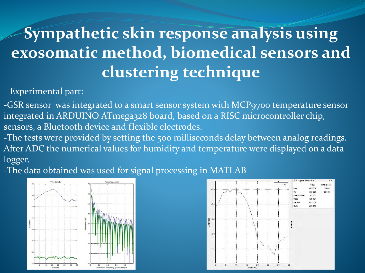# **Sympathetic skin response analysis using exosomatic method, biomedical sensors and clustering technique**

#### Experimental part:

-GSR sensor was integrated to a smart sensor system with MCP9700 temperature sensor integrated in ARDUINO ATmega328 board, based on a RISC microcontroller chip, sensors, a Bluetooth device and flexible electrodes.

-The tests were provided by setting the 500 milliseconds delay between analog readings. After ADC the numerical values for humidity and temperature were displayed on a data logger.

-The data obtained was used for signal processing in MATLAB



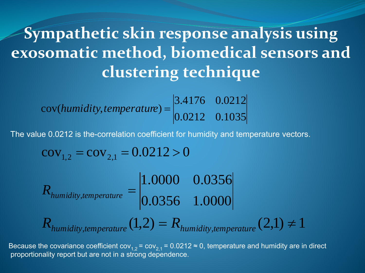### **Sympathetic skin response analysis using exosomatic method, biomedical sensors and clustering technique**  $\boxed{3}$

$$
cov(humidity, temperature) = \begin{vmatrix} 3.4176 & 0.0212 \\ 0.0212 & 0.1035 \end{vmatrix}
$$

The value 0.0212 is the-correlation coefficient for humidity and temperature vectors.

$$
cov_{1,2} = cov_{2,1} = 0.0212 > 0
$$

0.0356 1.0000 1.0000 0.0356  $R$ <sub>humidity, temperature</sub>  $=$  $R_{\text{humidity, temperature}}(1,2) = R_{\text{humidity, temperature}}(2,1) \neq 1$ 

Because the covariance coefficient cov $_{1,2}$  = cov $_{2,1}$  = 0.0212 ≈ 0, temperature and humidity are in direct proportionality report but are not in a strong dependence.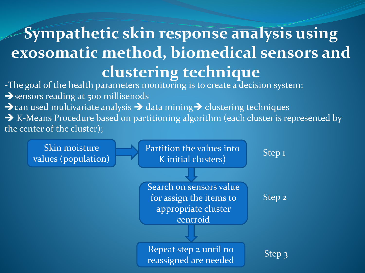## **Sympathetic skin response analysis using exosomatic method, biomedical sensors and clustering technique**  $\boxed{3}$

-The goal of the health parameters monitoring is to create a decision system; sensors reading at 500 millisenods  $\rightarrow$  can used multivariate analysis  $\rightarrow$  data mining  $\rightarrow$  clustering techniques → K-Means Procedure based on partitioning algorithm (each cluster is represented by the center of the cluster);

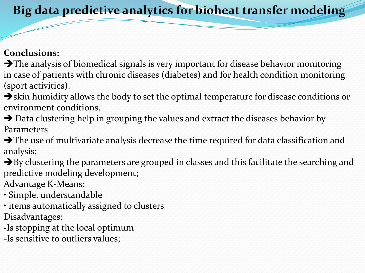### **Big data predictive analytics for bioheat transfer modeling**

#### **Conclusions:**

 $\rightarrow$  The analysis of biomedical signals is very important for disease behavior monitoring in case of patients with chronic diseases (diabetes) and for health condition monitoring (sport activities).

 $\rightarrow$ skin humidity allows the body to set the optimal temperature for disease conditions or environment conditions.

→ Data clustering help in grouping the values and extract the diseases behavior by Parameters

 $\rightarrow$  The use of multivariate analysis decrease the time required for data classification and analysis;

 $\rightarrow$  By clustering the parameters are grouped in classes and this facilitate the searching and predictive modeling development;

Advantage K-Means:

• Simple, understandable

• items automatically assigned to clusters Disadvantages:

*-*Is stopping at the local optimum

-Is sensitive to outliers values;